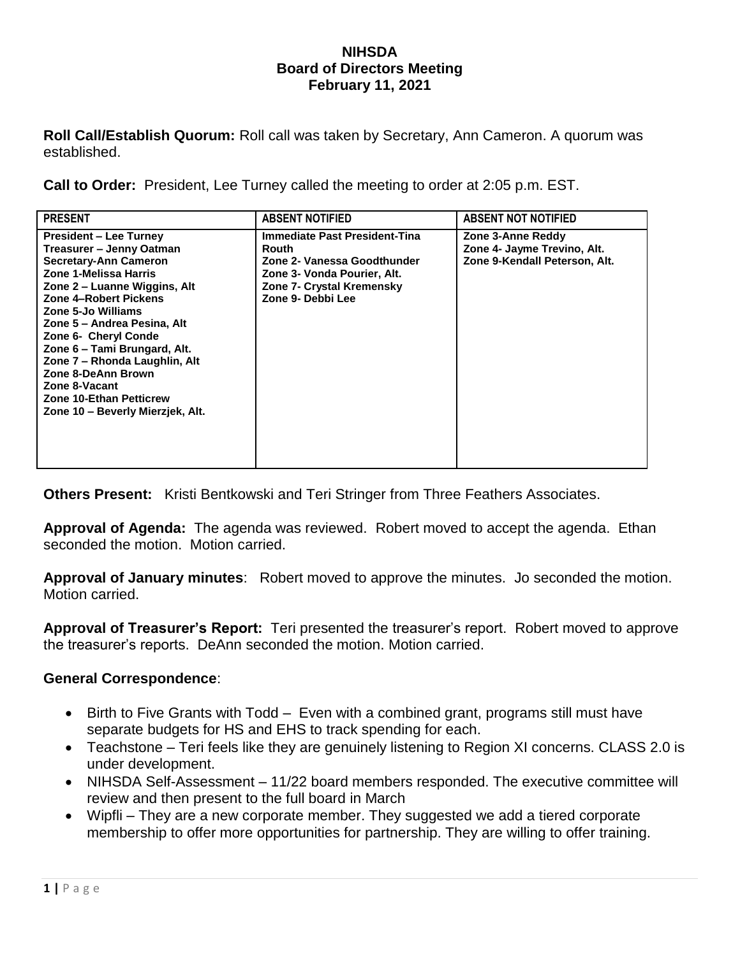## **NIHSDA Board of Directors Meeting February 11, 2021**

**Roll Call/Establish Quorum:** Roll call was taken by Secretary, Ann Cameron. A quorum was established.

**Call to Order:** President, Lee Turney called the meeting to order at 2:05 p.m. EST.

| <b>PRESENT</b>                                                                                                                                                                                                                                                                                                                                                                                                                  | <b>ABSENT NOTIFIED</b>                                                                                                                                               | <b>ABSENT NOT NOTIFIED</b>                                                        |
|---------------------------------------------------------------------------------------------------------------------------------------------------------------------------------------------------------------------------------------------------------------------------------------------------------------------------------------------------------------------------------------------------------------------------------|----------------------------------------------------------------------------------------------------------------------------------------------------------------------|-----------------------------------------------------------------------------------|
| <b>President – Lee Turney</b><br>Treasurer – Jenny Oatman<br>Secretary-Ann Cameron<br>Zone 1-Melissa Harris<br>Zone 2 – Luanne Wiggins, Alt<br>Zone 4-Robert Pickens<br>Zone 5-Jo Williams<br>Zone 5 – Andrea Pesina, Alt<br>Zone 6- Cheryl Conde<br>Zone 6 - Tami Brungard, Alt.<br>Zone 7 - Rhonda Laughlin, Alt<br>Zone 8-DeAnn Brown<br>Zone 8-Vacant<br><b>Zone 10-Ethan Petticrew</b><br>Zone 10 - Beverly Mierzjek, Alt. | <b>Immediate Past President-Tina</b><br><b>Routh</b><br>Zone 2- Vanessa Goodthunder<br>Zone 3- Vonda Pourier, Alt.<br>Zone 7- Crystal Kremensky<br>Zone 9- Debbi Lee | Zone 3-Anne Reddy<br>Zone 4- Jayme Trevino, Alt.<br>Zone 9-Kendall Peterson, Alt. |

**Others Present:** Kristi Bentkowski and Teri Stringer from Three Feathers Associates.

**Approval of Agenda:** The agenda was reviewed. Robert moved to accept the agenda. Ethan seconded the motion. Motion carried.

**Approval of January minutes**: Robert moved to approve the minutes. Jo seconded the motion. Motion carried.

**Approval of Treasurer's Report:** Teri presented the treasurer's report. Robert moved to approve the treasurer's reports. DeAnn seconded the motion. Motion carried.

## **General Correspondence**:

- Birth to Five Grants with Todd Even with a combined grant, programs still must have separate budgets for HS and EHS to track spending for each.
- Teachstone Teri feels like they are genuinely listening to Region XI concerns. CLASS 2.0 is under development.
- NIHSDA Self-Assessment 11/22 board members responded. The executive committee will review and then present to the full board in March
- Wipfli They are a new corporate member. They suggested we add a tiered corporate membership to offer more opportunities for partnership. They are willing to offer training.